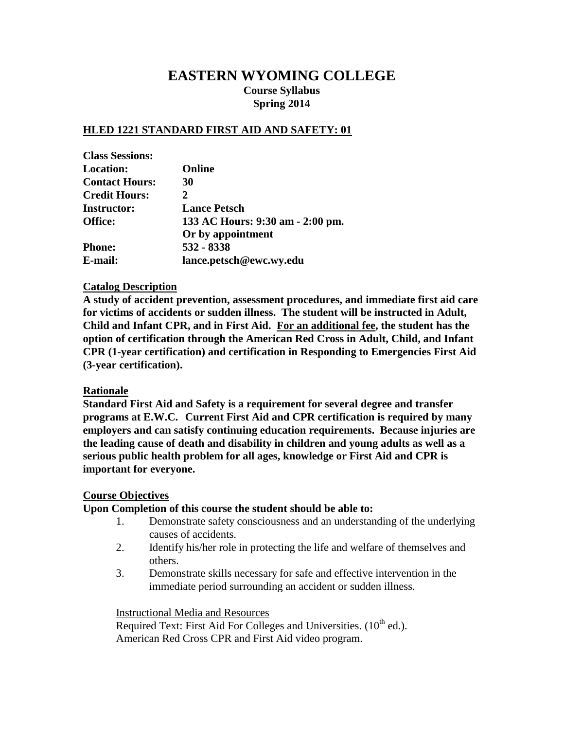## **EASTERN WYOMING COLLEGE Course Syllabus Spring 2014**

## **HLED 1221 STANDARD FIRST AID AND SAFETY: 01**

| <b>Class Sessions:</b> |                                  |
|------------------------|----------------------------------|
| <b>Location:</b>       | <b>Online</b>                    |
| <b>Contact Hours:</b>  | <b>30</b>                        |
| <b>Credit Hours:</b>   | 2                                |
| <b>Instructor:</b>     | <b>Lance Petsch</b>              |
| Office:                | 133 AC Hours: 9:30 am - 2:00 pm. |
|                        | Or by appointment                |
| <b>Phone:</b>          | 532 - 8338                       |
| E-mail:                | lance.petsch@ewc.wy.edu          |

## **Catalog Description**

**A study of accident prevention, assessment procedures, and immediate first aid care for victims of accidents or sudden illness. The student will be instructed in Adult, Child and Infant CPR, and in First Aid. For an additional fee, the student has the option of certification through the American Red Cross in Adult, Child, and Infant CPR (1-year certification) and certification in Responding to Emergencies First Aid (3-year certification).**

## **Rationale**

**Standard First Aid and Safety is a requirement for several degree and transfer programs at E.W.C. Current First Aid and CPR certification is required by many employers and can satisfy continuing education requirements. Because injuries are the leading cause of death and disability in children and young adults as well as a serious public health problem for all ages, knowledge or First Aid and CPR is important for everyone.**

## **Course Objectives**

#### **Upon Completion of this course the student should be able to:**

- 1. Demonstrate safety consciousness and an understanding of the underlying causes of accidents.
- 2. Identify his/her role in protecting the life and welfare of themselves and others.
- 3. Demonstrate skills necessary for safe and effective intervention in the immediate period surrounding an accident or sudden illness.

#### Instructional Media and Resources

Required Text: First Aid For Colleges and Universities.  $(10^{th}$  ed.). American Red Cross CPR and First Aid video program.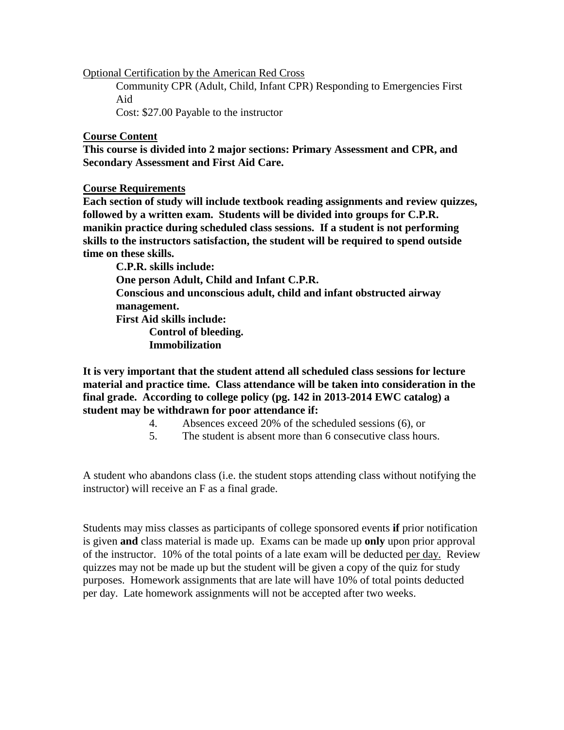Optional Certification by the American Red Cross

Community CPR (Adult, Child, Infant CPR) Responding to Emergencies First Aid

Cost: \$27.00 Payable to the instructor

## **Course Content**

**This course is divided into 2 major sections: Primary Assessment and CPR, and Secondary Assessment and First Aid Care.**

## **Course Requirements**

**Each section of study will include textbook reading assignments and review quizzes, followed by a written exam. Students will be divided into groups for C.P.R. manikin practice during scheduled class sessions. If a student is not performing skills to the instructors satisfaction, the student will be required to spend outside time on these skills.**

**C.P.R. skills include: One person Adult, Child and Infant C.P.R. Conscious and unconscious adult, child and infant obstructed airway management. First Aid skills include: Control of bleeding. Immobilization**

**It is very important that the student attend all scheduled class sessions for lecture material and practice time. Class attendance will be taken into consideration in the final grade. According to college policy (pg. 142 in 2013-2014 EWC catalog) a student may be withdrawn for poor attendance if:**

- 4. Absences exceed 20% of the scheduled sessions (6), or
- 5. The student is absent more than 6 consecutive class hours.

A student who abandons class (i.e. the student stops attending class without notifying the instructor) will receive an F as a final grade.

Students may miss classes as participants of college sponsored events **if** prior notification is given **and** class material is made up. Exams can be made up **only** upon prior approval of the instructor. 10% of the total points of a late exam will be deducted per day. Review quizzes may not be made up but the student will be given a copy of the quiz for study purposes. Homework assignments that are late will have 10% of total points deducted per day. Late homework assignments will not be accepted after two weeks.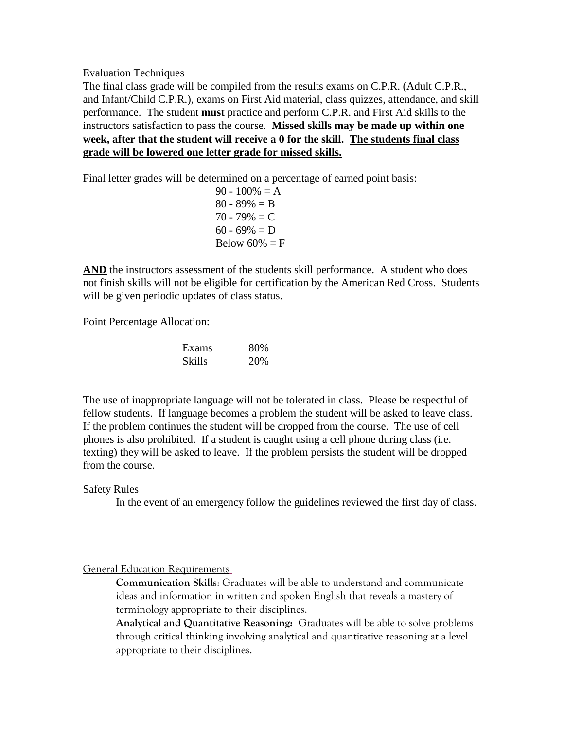Evaluation Techniques

The final class grade will be compiled from the results exams on C.P.R. (Adult C.P.R., and Infant/Child C.P.R.), exams on First Aid material, class quizzes, attendance, and skill performance. The student **must** practice and perform C.P.R. and First Aid skills to the instructors satisfaction to pass the course. **Missed skills may be made up within one week, after that the student will receive a 0 for the skill. The students final class grade will be lowered one letter grade for missed skills.**

Final letter grades will be determined on a percentage of earned point basis:

 $90 - 100\% = A$  $80 - 89\% = B$  $70 - 79\% = C$  $60 - 69\% = D$ Below  $60\% = F$ 

AND the instructors assessment of the students skill performance. A student who does not finish skills will not be eligible for certification by the American Red Cross. Students will be given periodic updates of class status.

Point Percentage Allocation:

| Exams  | 80% |
|--------|-----|
| Skills | 20% |

The use of inappropriate language will not be tolerated in class. Please be respectful of fellow students. If language becomes a problem the student will be asked to leave class. If the problem continues the student will be dropped from the course. The use of cell phones is also prohibited. If a student is caught using a cell phone during class (i.e. texting) they will be asked to leave. If the problem persists the student will be dropped from the course.

## Safety Rules

In the event of an emergency follow the guidelines reviewed the first day of class.

## General Education Requirements

**Communication Skills**: Graduates will be able to understand and communicate ideas and information in written and spoken English that reveals a mastery of terminology appropriate to their disciplines.

**Analytical and Quantitative Reasoning:** Graduates will be able to solve problems through critical thinking involving analytical and quantitative reasoning at a level appropriate to their disciplines.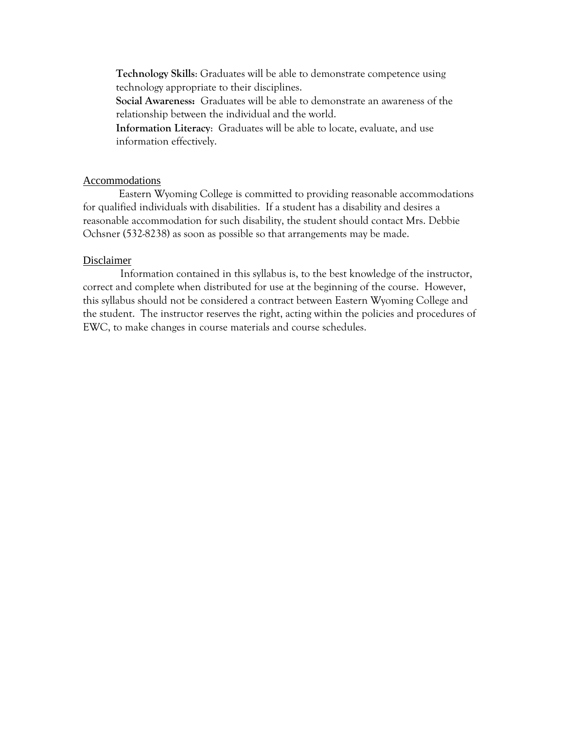**Technology Skills**: Graduates will be able to demonstrate competence using technology appropriate to their disciplines.

**Social Awareness:** Graduates will be able to demonstrate an awareness of the relationship between the individual and the world.

**Information Literacy**: Graduates will be able to locate, evaluate, and use information effectively.

#### Accommodations

Eastern Wyoming College is committed to providing reasonable accommodations for qualified individuals with disabilities. If a student has a disability and desires a reasonable accommodation for such disability, the student should contact Mrs. Debbie Ochsner (532-8238) as soon as possible so that arrangements may be made.

#### Disclaimer

Information contained in this syllabus is, to the best knowledge of the instructor, correct and complete when distributed for use at the beginning of the course. However, this syllabus should not be considered a contract between Eastern Wyoming College and the student. The instructor reserves the right, acting within the policies and procedures of EWC, to make changes in course materials and course schedules.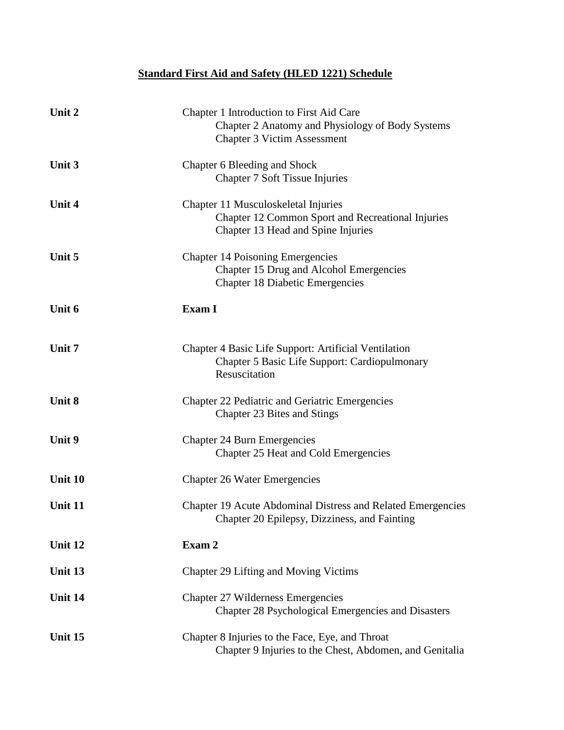# **Standard First Aid and Safety (HLED 1221) Schedule**

| Unit 2        | Chapter 1 Introduction to First Aid Care<br>Chapter 2 Anatomy and Physiology of Body Systems<br><b>Chapter 3 Victim Assessment</b> |
|---------------|------------------------------------------------------------------------------------------------------------------------------------|
| Unit 3        | Chapter 6 Bleeding and Shock<br>Chapter 7 Soft Tissue Injuries                                                                     |
| <b>Unit 4</b> | Chapter 11 Musculoskeletal Injuries<br>Chapter 12 Common Sport and Recreational Injuries<br>Chapter 13 Head and Spine Injuries     |
| Unit 5        | <b>Chapter 14 Poisoning Emergencies</b><br>Chapter 15 Drug and Alcohol Emergencies<br><b>Chapter 18 Diabetic Emergencies</b>       |
| Unit 6        | <b>Exam I</b>                                                                                                                      |
| Unit 7        | Chapter 4 Basic Life Support: Artificial Ventilation<br><b>Chapter 5 Basic Life Support: Cardiopulmonary</b><br>Resuscitation      |
| Unit 8        | Chapter 22 Pediatric and Geriatric Emergencies<br>Chapter 23 Bites and Stings                                                      |
| Unit 9        | <b>Chapter 24 Burn Emergencies</b><br>Chapter 25 Heat and Cold Emergencies                                                         |
| Unit 10       | <b>Chapter 26 Water Emergencies</b>                                                                                                |
| Unit 11       | Chapter 19 Acute Abdominal Distress and Related Emergencies<br>Chapter 20 Epilepsy, Dizziness, and Fainting                        |
| Unit 12       | Exam 2                                                                                                                             |
| Unit 13       | <b>Chapter 29 Lifting and Moving Victims</b>                                                                                       |
| Unit 14       | <b>Chapter 27 Wilderness Emergencies</b><br>Chapter 28 Psychological Emergencies and Disasters                                     |
| Unit 15       | Chapter 8 Injuries to the Face, Eye, and Throat<br>Chapter 9 Injuries to the Chest, Abdomen, and Genitalia                         |